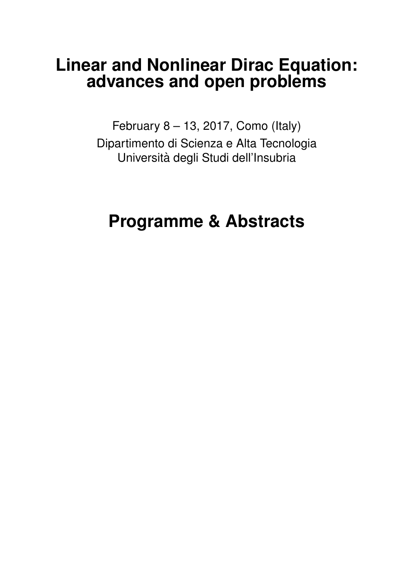# **Linear and Nonlinear Dirac Equation: advances and open problems**

February 8 – 13, 2017, Como (Italy) Dipartimento di Scienza e Alta Tecnologia Universita degli Studi dell'Insubria `

# **Programme & Abstracts**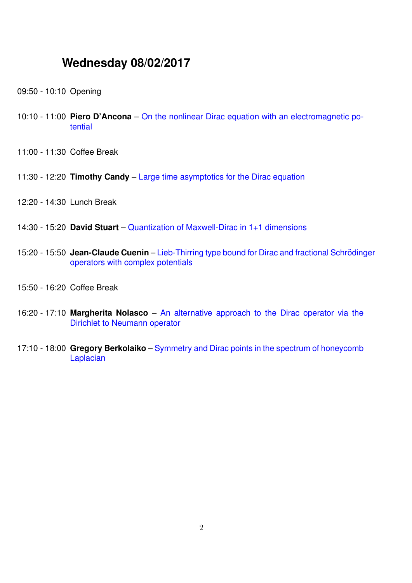# **Wednesday 08/02/2017**

- 09:50 10:10 Opening
- <span id="page-1-3"></span>10:10 - 11:00 **Piero D'Ancona** – [On the nonlinear Dirac equation with an electromagnetic po](#page-6-0)[tential](#page-6-0)
- 11:00 11:30 Coffee Break
- <span id="page-1-1"></span>11:30 - 12:20 **Timothy Candy** – [Large time asymptotics for the Dirac equation](#page-5-0)
- 12:20 14:30 Lunch Break
- <span id="page-1-5"></span>14:30 - 15:20 **David Stuart** – [Quantization of Maxwell-Dirac in 1+1 dimensions](#page-9-0)
- <span id="page-1-2"></span>15:20 - 15:50 Jean-Claude Cuenin – Lieb-Thirring type bound for Dirac and fractional Schrödinger [operators with complex potentials](#page-6-1)
- 15:50 16:20 Coffee Break
- <span id="page-1-4"></span>16:20 - 17:10 **Margherita Nolasco** – [An alternative approach to the Dirac operator via the](#page-8-0) [Dirichlet to Neumann operator](#page-8-0)
- <span id="page-1-0"></span>17:10 - 18:00 **Gregory Berkolaiko** – [Symmetry and Dirac points in the spectrum of honeycomb](#page-4-0) [Laplacian](#page-4-0)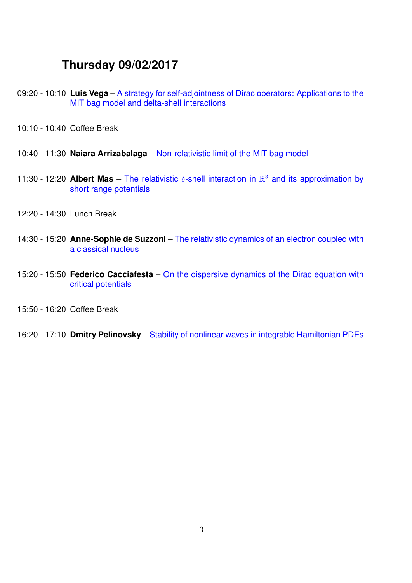# <span id="page-2-5"></span>**Thursday 09/02/2017**

- 09:20 10:10 **Luis Vega** [A strategy for self-adjointness of Dirac operators: Applications to the](#page-9-1) [MIT bag model and delta-shell interactions](#page-9-1)
- 10:10 10:40 Coffee Break
- <span id="page-2-0"></span>10:40 - 11:30 **Naiara Arrizabalaga** – [Non-relativistic limit of the MIT bag model](#page-4-1)
- <span id="page-2-3"></span>11:30 - 12:20 **Albert Mas** – The relativistic  $\delta$ -shell interaction in  $\mathbb{R}^3$  [and its approximation by](#page-7-0) [short range potentials](#page-7-0)
- 12:20 14:30 Lunch Break
- <span id="page-2-2"></span>14:30 - 15:20 **Anne-Sophie de Suzzoni** – [The relativistic dynamics of an electron coupled with](#page-6-2) [a classical nucleus](#page-6-2)
- <span id="page-2-1"></span>15:20 - 15:50 **Federico Cacciafesta** – [On the dispersive dynamics of the Dirac equation with](#page-5-1) [critical potentials](#page-5-1)
- 15:50 16:20 Coffee Break
- <span id="page-2-4"></span>16:20 - 17:10 **Dmitry Pelinovsky** – [Stability of nonlinear waves in integrable Hamiltonian PDEs](#page-8-1)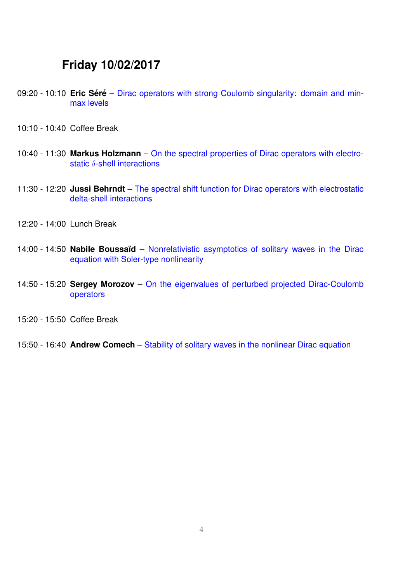# <span id="page-3-5"></span>**Friday 10/02/2017**

- 09:20 10:10 **Eric Séré** [Dirac operators with strong Coulomb singularity: domain and min](#page-9-2)[max levels](#page-9-2)
- 10:10 10:40 Coffee Break
- <span id="page-3-3"></span>10:40 - 11:30 **Markus Holzmann** – [On the spectral properties of Dirac operators with electro](#page-7-1)static δ[-shell interactions](#page-7-1)
- <span id="page-3-0"></span>11:30 - 12:20 **Jussi Behrndt** – [The spectral shift function for Dirac operators with electrostatic](#page-4-2) [delta-shell interactions](#page-4-2)
- 12:20 14:00 Lunch Break
- <span id="page-3-1"></span>14:00 - 14:50 **Nabile Boussa¨ıd** – [Nonrelativistic asymptotics of solitary waves in the Dirac](#page-4-3) [equation with Soler-type nonlinearity](#page-4-3)
- <span id="page-3-4"></span>14:50 - 15:20 **Sergey Morozov** – [On the eigenvalues of perturbed projected Dirac-Coulomb](#page-8-2) [operators](#page-8-2)
- 15:20 15:50 Coffee Break
- <span id="page-3-2"></span>15:50 - 16:40 **Andrew Comech** – [Stability of solitary waves in the nonlinear Dirac equation](#page-5-2)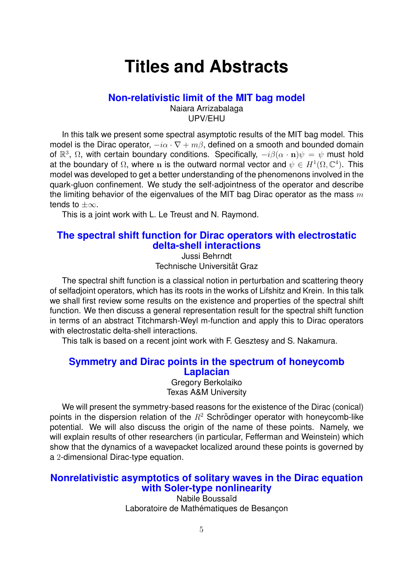# **Titles and Abstracts**

#### **[Non-relativistic limit of the MIT bag model](#page-2-0)**

Naiara Arrizabalaga UPV/EHU

<span id="page-4-1"></span>In this talk we present some spectral asymptotic results of the MIT bag model. This model is the Dirac operator,  $-i\alpha \cdot \nabla + m\beta$ , defined on a smooth and bounded domain of  $\mathbb{R}^3$ ,  $\Omega$ , with certain boundary conditions. Specifically,  $-i\beta(\alpha \cdot \mathbf{n})\psi = \psi$  must hold at the boundary of  $\Omega$ , where n is the outward normal vector and  $\psi \in H^1(\Omega,\mathbb{C}^4)$ . This model was developed to get a better understanding of the phenomenons involved in the quark-gluon confinement. We study the self-adjointness of the operator and describe the limiting behavior of the eigenvalues of the MIT bag Dirac operator as the mass  $m$ tends to  $\pm\infty$ .

This is a joint work with L. Le Treust and N. Raymond.

## <span id="page-4-2"></span>**[The spectral shift function for Dirac operators with electrostatic](#page-3-0) [delta-shell interactions](#page-3-0)**

Jussi Behrndt Technische Universität Graz

The spectral shift function is a classical notion in perturbation and scattering theory of selfadjoint operators, which has its roots in the works of Lifshitz and Krein. In this talk we shall first review some results on the existence and properties of the spectral shift function. We then discuss a general representation result for the spectral shift function in terms of an abstract Titchmarsh-Weyl m-function and apply this to Dirac operators with electrostatic delta-shell interactions.

This talk is based on a recent joint work with F. Gesztesy and S. Nakamura.

### <span id="page-4-0"></span>**[Symmetry and Dirac points in the spectrum of honeycomb](#page-1-0) [Laplacian](#page-1-0)**

Gregory Berkolaiko Texas A&M University

We will present the symmetry-based reasons for the existence of the Dirac (conical) points in the dispersion relation of the  $R<sup>2</sup>$  Schrödinger operator with honeycomb-like potential. We will also discuss the origin of the name of these points. Namely, we will explain results of other researchers (in particular, Fefferman and Weinstein) which show that the dynamics of a wavepacket localized around these points is governed by a 2-dimensional Dirac-type equation.

### <span id="page-4-3"></span>**[Nonrelativistic asymptotics of solitary waves in the Dirac equation](#page-3-1) [with Soler-type nonlinearity](#page-3-1)**

Nabile Boussaïd Laboratoire de Mathématiques de Besancon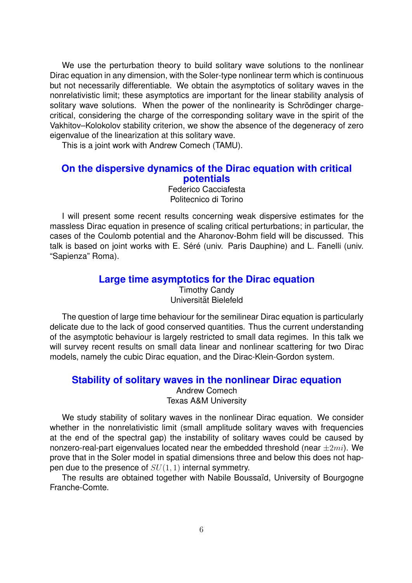We use the perturbation theory to build solitary wave solutions to the nonlinear Dirac equation in any dimension, with the Soler-type nonlinear term which is continuous but not necessarily differentiable. We obtain the asymptotics of solitary waves in the nonrelativistic limit; these asymptotics are important for the linear stability analysis of solitary wave solutions. When the power of the nonlinearity is Schrödinger chargecritical, considering the charge of the corresponding solitary wave in the spirit of the Vakhitov–Kolokolov stability criterion, we show the absence of the degeneracy of zero eigenvalue of the linearization at this solitary wave.

This is a joint work with Andrew Comech (TAMU).

#### <span id="page-5-1"></span>**[On the dispersive dynamics of the Dirac equation with critical](#page-2-1) [potentials](#page-2-1)**

Federico Cacciafesta Politecnico di Torino

I will present some recent results concerning weak dispersive estimates for the massless Dirac equation in presence of scaling critical perturbations; in particular, the cases of the Coulomb potential and the Aharonov-Bohm field will be discussed. This talk is based on joint works with E. Séré (univ. Paris Dauphine) and L. Fanelli (univ. "Sapienza" Roma).

#### **[Large time asymptotics for the Dirac equation](#page-1-1)**

Timothy Candy Universitat Bielefeld ¨

<span id="page-5-0"></span>The question of large time behaviour for the semilinear Dirac equation is particularly delicate due to the lack of good conserved quantities. Thus the current understanding of the asymptotic behaviour is largely restricted to small data regimes. In this talk we will survey recent results on small data linear and nonlinear scattering for two Dirac models, namely the cubic Dirac equation, and the Dirac-Klein-Gordon system.

#### <span id="page-5-2"></span>**[Stability of solitary waves in the nonlinear Dirac equation](#page-3-2)**

Andrew Comech Texas A&M University

We study stability of solitary waves in the nonlinear Dirac equation. We consider whether in the nonrelativistic limit (small amplitude solitary waves with frequencies at the end of the spectral gap) the instability of solitary waves could be caused by nonzero-real-part eigenvalues located near the embedded threshold (near  $\pm 2mi$ ). We prove that in the Soler model in spatial dimensions three and below this does not happen due to the presence of  $SU(1,1)$  internal symmetry.

The results are obtained together with Nabile Boussaïd, University of Bourgogne Franche-Comte.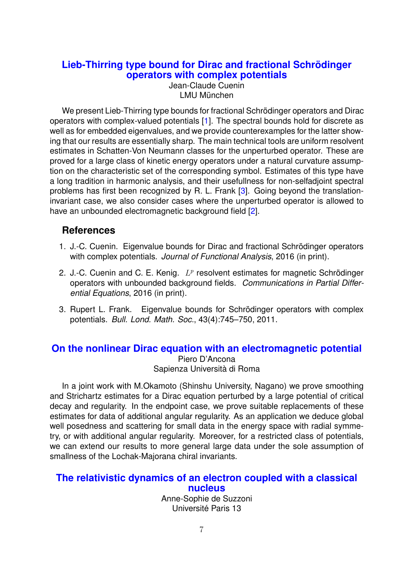# <span id="page-6-1"></span>**Lieb-Thirring type bound for Dirac and fractional Schrödinger [operators with complex potentials](#page-1-2)**

Jean-Claude Cuenin LMU München

We present Lieb-Thirring type bounds for fractional Schrödinger operators and Dirac operators with complex-valued potentials [\[1\]](#page-6-3). The spectral bounds hold for discrete as well as for embedded eigenvalues, and we provide counterexamples for the latter showing that our results are essentially sharp. The main technical tools are uniform resolvent estimates in Schatten-Von Neumann classes for the unperturbed operator. These are proved for a large class of kinetic energy operators under a natural curvature assumption on the characteristic set of the corresponding symbol. Estimates of this type have a long tradition in harmonic analysis, and their usefullness for non-selfadjoint spectral problems has first been recognized by R. L. Frank [\[3\]](#page-6-4). Going beyond the translationinvariant case, we also consider cases where the unperturbed operator is allowed to have an unbounded electromagnetic background field [\[2\]](#page-6-5).

# **References**

- <span id="page-6-3"></span>1. J.-C. Cuenin. Eigenvalue bounds for Dirac and fractional Schrödinger operators with complex potentials. *Journal of Functional Analysis*, 2016 (in print).
- <span id="page-6-5"></span>2. J.-C. Cuenin and C. E. Kenig.  $L^p$  resolvent estimates for magnetic Schrödinger operators with unbounded background fields. *Communications in Partial Differential Equations*, 2016 (in print).
- <span id="page-6-4"></span>3. Rupert L. Frank. Eigenvalue bounds for Schrödinger operators with complex potentials. *Bull. Lond. Math. Soc.*, 43(4):745–750, 2011.

#### <span id="page-6-0"></span>**[On the nonlinear Dirac equation with an electromagnetic potential](#page-1-3)** Piero D'Ancona Sapienza Università di Roma

In a joint work with M.Okamoto (Shinshu University, Nagano) we prove smoothing and Strichartz estimates for a Dirac equation perturbed by a large potential of critical decay and regularity. In the endpoint case, we prove suitable replacements of these estimates for data of additional angular regularity. As an application we deduce global well posedness and scattering for small data in the energy space with radial symmetry, or with additional angular regularity. Moreover, for a restricted class of potentials, we can extend our results to more general large data under the sole assumption of smallness of the Lochak-Majorana chiral invariants.

### <span id="page-6-2"></span>**[The relativistic dynamics of an electron coupled with a classical](#page-2-2) [nucleus](#page-2-2)**

Anne-Sophie de Suzzoni Universite Paris 13 ´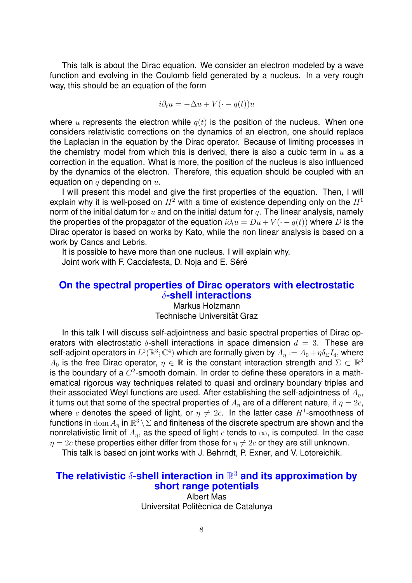This talk is about the Dirac equation. We consider an electron modeled by a wave function and evolving in the Coulomb field generated by a nucleus. In a very rough way, this should be an equation of the form

$$
i\partial_t u = -\Delta u + V(\cdot - q(t))u
$$

where u represents the electron while  $q(t)$  is the position of the nucleus. When one considers relativistic corrections on the dynamics of an electron, one should replace the Laplacian in the equation by the Dirac operator. Because of limiting processes in the chemistry model from which this is derived, there is also a cubic term in  $u$  as a correction in the equation. What is more, the position of the nucleus is also influenced by the dynamics of the electron. Therefore, this equation should be coupled with an equation on  $q$  depending on  $u$ .

I will present this model and give the first properties of the equation. Then, I will explain why it is well-posed on  $H^2$  with a time of existence depending only on the  $H^1$ norm of the initial datum for  $u$  and on the initial datum for  $q$ . The linear analysis, namely the properties of the propagator of the equation  $i\partial_t u = Du + V(\cdot - q(t))$  where D is the Dirac operator is based on works by Kato, while the non linear analysis is based on a work by Cancs and Lebris.

It is possible to have more than one nucleus. I will explain why. Joint work with F. Cacciafesta, D. Noja and E. Séré

#### <span id="page-7-1"></span>**[On the spectral properties of Dirac operators with electrostatic](#page-3-3)** δ**[-shell interactions](#page-3-3)**

Markus Holzmann Technische Universität Graz

In this talk I will discuss self-adjointness and basic spectral properties of Dirac operators with electrostatic  $\delta$ -shell interactions in space dimension  $d = 3$ . These are self-adjoint operators in  $L^2(\mathbb{R}^3;\mathbb{C}^4)$  which are formally given by  $A_\eta:=A_0+\eta\delta_\Sigma I_4,$  where  $A_0$  is the free Dirac operator,  $\eta\,\in\,\mathbb{R}$  is the constant interaction strength and  $\Sigma\,\subset\,\mathbb{R}^3$ is the boundary of a  $C^2$ -smooth domain. In order to define these operators in a mathematical rigorous way techniques related to quasi and ordinary boundary triples and their associated Weyl functions are used. After establishing the self-adjointness of  $A_n$ , it turns out that some of the spectral properties of  $A_n$  are of a different nature, if  $\eta = 2c$ , where c denotes the speed of light, or  $\eta \neq 2c$ . In the latter case  $H^1$ -smoothness of functions in  $\text{dom}\, A_\eta$  in  $\mathbb{R}^3\setminus \Sigma$  and finiteness of the discrete spectrum are shown and the nonrelativistic limit of  $A_n$ , as the speed of light c tends to  $\infty$ , is computed. In the case  $\eta = 2c$  these properties either differ from those for  $\eta \neq 2c$  or they are still unknown.

This talk is based on joint works with J. Behrndt, P. Exner, and V. Lotoreichik.

# <span id="page-7-0"></span>**The relativistic**  $\delta$ **-shell interaction in**  $\mathbb{R}^3$  **[and its approximation by](#page-2-3) [short range potentials](#page-2-3)**

Albert Mas Universitat Politècnica de Catalunya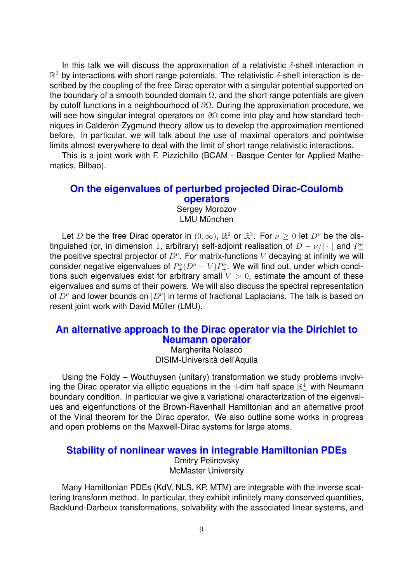In this talk we will discuss the approximation of a relativistic  $\delta$ -shell interaction in  $\mathbb{R}^3$  by interactions with short range potentials. The relativistic  $\delta$ -shell interaction is described by the coupling of the free Dirac operator with a singular potential supported on the boundary of a smooth bounded domain  $\Omega$ , and the short range potentials are given by cutoff functions in a neighbourhood of ∂Ω. During the approximation procedure, we will see how singular integral operators on  $\partial\Omega$  come into play and how standard techniques in Calderón-Zygmund theory allow us to develop the approximation mentioned before. In particular, we will talk about the use of maximal operators and pointwise limits almost everywhere to deal with the limit of short range relativistic interactions.

This is a joint work with F. Pizzichillo (BCAM - Basque Center for Applied Mathematics, Bilbao).

#### <span id="page-8-2"></span>**[On the eigenvalues of perturbed projected Dirac-Coulomb](#page-3-4) [operators](#page-3-4)**

Sergey Morozov LMU München

Let D be the free Dirac operator in  $(0, \infty)$ ,  $\mathbb{R}^2$  or  $\mathbb{R}^3$ . For  $\nu \geq 0$  let  $D^{\nu}$  be the distinguished (or, in dimension 1, arbitrary) self-adjoint realisation of  $D-\nu/|\cdot|$  and  $P_{+}^{\nu}$ the positive spectral projector of  $D^{\nu}$ . For matrix-functions V decaying at infinity we will consider negative eigenvalues of  $P_{+}^{\nu}(D^{\nu}-V)P_{+}^{\nu}$ . We will find out, under which conditions such eigenvalues exist for arbitrary small  $V > 0$ , estimate the amount of these eigenvalues and sums of their powers. We will also discuss the spectral representation of  $D^{\nu}$  and lower bounds on  $|D^{\nu}|$  in terms of fractional Laplacians. The talk is based on resent joint work with David Müller (LMU).

### <span id="page-8-0"></span>**[An alternative approach to the Dirac operator via the Dirichlet to](#page-1-4) [Neumann operator](#page-1-4)**

Margherita Nolasco DISIM-Universita dell'Aquila `

Using the Foldy – Wouthuysen (unitary) transformation we study problems involving the Dirac operator via elliptic equations in the 4-dim half space  $\mathbb{R}_+^4$  with Neumann boundary condition. In particular we give a variational characterization of the eigenvalues and eigenfunctions of the Brown-Ravenhall Hamiltonian and an alternative proof of the Virial theorem for the Dirac operator. We also outline some works in progress and open problems on the Maxwell-Dirac systems for large atoms.

#### <span id="page-8-1"></span>**[Stability of nonlinear waves in integrable Hamiltonian PDEs](#page-2-4)**

Dmitry Pelinovsky McMaster University

Many Hamiltonian PDEs (KdV, NLS, KP, MTM) are integrable with the inverse scattering transform method. In particular, they exhibit infinitely many conserved quantities, Backlund-Darboux transformations, solvability with the associated linear systems, and